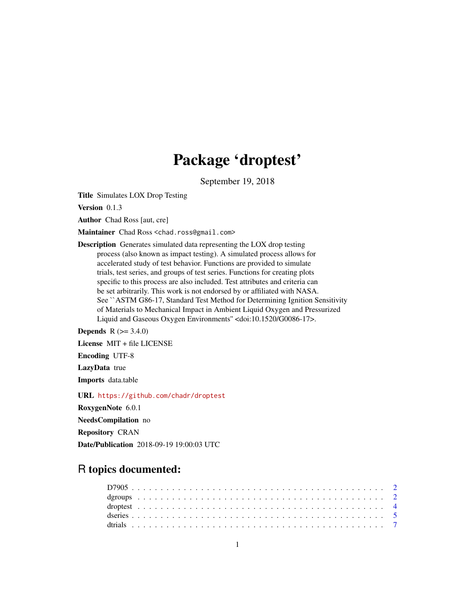## Package 'droptest'

September 19, 2018

Title Simulates LOX Drop Testing

Version 0.1.3

Author Chad Ross [aut, cre]

Maintainer Chad Ross <chad.ross@gmail.com>

Description Generates simulated data representing the LOX drop testing process (also known as impact testing). A simulated process allows for accelerated study of test behavior. Functions are provided to simulate trials, test series, and groups of test series. Functions for creating plots specific to this process are also included. Test attributes and criteria can be set arbitrarily. This work is not endorsed by or affiliated with NASA. See ``ASTM G86-17, Standard Test Method for Determining Ignition Sensitivity of Materials to Mechanical Impact in Ambient Liquid Oxygen and Pressurized Liquid and Gaseous Oxygen Environments'' <doi:10.1520/G0086-17>.

**Depends**  $R (= 3.4.0)$ 

License MIT + file LICENSE

Encoding UTF-8

LazyData true

Imports data.table

URL <https://github.com/chadr/droptest>

RoxygenNote 6.0.1

NeedsCompilation no

Repository CRAN

Date/Publication 2018-09-19 19:00:03 UTC

## R topics documented: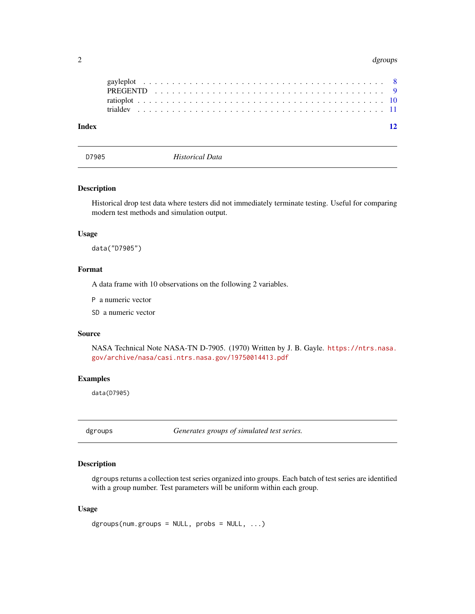#### <span id="page-1-0"></span>2 dgroups and the control of the control of the control of the control of the control of the control of the control of the control of the control of the control of the control of the control of the control of the control o

| Index |  |  |  |  |  |  |  |  |  |  |  |  |  |  |  |  |  |  |  | 12 |
|-------|--|--|--|--|--|--|--|--|--|--|--|--|--|--|--|--|--|--|--|----|
|       |  |  |  |  |  |  |  |  |  |  |  |  |  |  |  |  |  |  |  |    |
|       |  |  |  |  |  |  |  |  |  |  |  |  |  |  |  |  |  |  |  |    |
|       |  |  |  |  |  |  |  |  |  |  |  |  |  |  |  |  |  |  |  |    |
|       |  |  |  |  |  |  |  |  |  |  |  |  |  |  |  |  |  |  |  |    |

<span id="page-1-2"></span>D7905 *Historical Data*

#### Description

Historical drop test data where testers did not immediately terminate testing. Useful for comparing modern test methods and simulation output.

#### Usage

data("D7905")

#### Format

A data frame with 10 observations on the following 2 variables.

P a numeric vector

SD a numeric vector

#### Source

NASA Technical Note NASA-TN D-7905. (1970) Written by J. B. Gayle. [https://ntrs.nasa.](https://ntrs.nasa.gov/archive/nasa/casi.ntrs.nasa.gov/19750014413.pdf) [gov/archive/nasa/casi.ntrs.nasa.gov/19750014413.pdf](https://ntrs.nasa.gov/archive/nasa/casi.ntrs.nasa.gov/19750014413.pdf)

#### Examples

data(D7905)

<span id="page-1-1"></span>dgroups *Generates groups of simulated test series.*

#### Description

dgroups returns a collection test series organized into groups. Each batch of test series are identified with a group number. Test parameters will be uniform within each group.

#### Usage

```
dgroups(num.groups = NULL, probs = NULL, ...)
```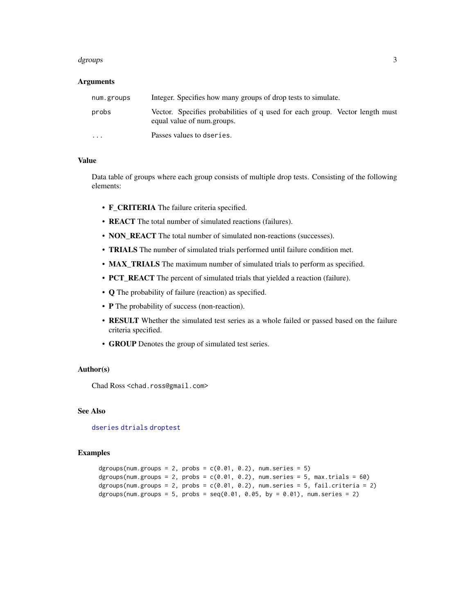#### <span id="page-2-0"></span>dgroups 3 and 3 and 3 and 3 and 3 and 3 and 3 and 3 and 3 and 3 and 3 and 3 and 3 and 3 and 3 and 3 and 3 and 3 and 3 and 3 and 3 and 3 and 3 and 3 and 3 and 3 and 3 and 3 and 3 and 3 and 3 and 3 and 3 and 3 and 3 and 3 an

#### **Arguments**

| num.groups        | Integer. Specifies how many groups of drop tests to simulate.                                              |
|-------------------|------------------------------------------------------------------------------------------------------------|
| probs             | Vector. Specifies probabilities of q used for each group. Vector length must<br>equal value of num.groups. |
| $\cdot\cdot\cdot$ | Passes values to dseries.                                                                                  |

#### Value

Data table of groups where each group consists of multiple drop tests. Consisting of the following elements:

- F\_CRITERIA The failure criteria specified.
- REACT The total number of simulated reactions (failures).
- NON\_REACT The total number of simulated non-reactions (successes).
- TRIALS The number of simulated trials performed until failure condition met.
- MAX\_TRIALS The maximum number of simulated trials to perform as specified.
- PCT\_REACT The percent of simulated trials that yielded a reaction (failure).
- Q The probability of failure (reaction) as specified.
- P The probability of success (non-reaction).
- RESULT Whether the simulated test series as a whole failed or passed based on the failure criteria specified.
- GROUP Denotes the group of simulated test series.

#### Author(s)

Chad Ross <chad.ross@gmail.com>

#### See Also

[dseries](#page-4-1) [dtrials](#page-6-1) [droptest](#page-3-1)

```
dgroups(num.groups = 2, probs = c(0.01, 0.2), num.series = 5)
dgroups(num.groups = 2, probs = c(0.01, 0.2), num.series = 5, max.trials = 60)
dgroups(num.groups = 2, probs = c(0.01, 0.2), num.series = 5, fail.criteria = 2)
dgroups(num.groups = 5, probs = seq(0.01, 0.05, by = 0.01), num.series = 2)
```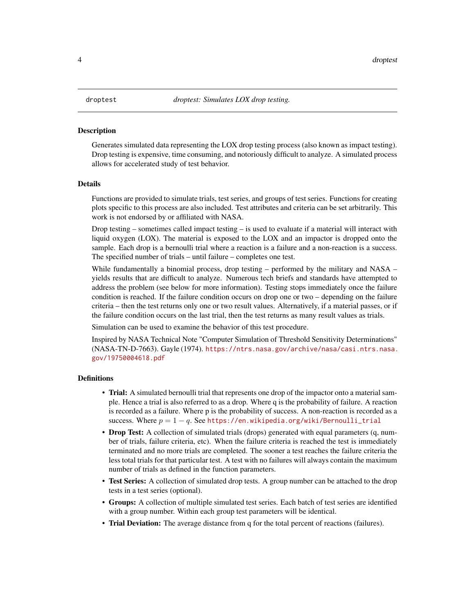<span id="page-3-1"></span><span id="page-3-0"></span>Generates simulated data representing the LOX drop testing process (also known as impact testing). Drop testing is expensive, time consuming, and notoriously difficult to analyze. A simulated process allows for accelerated study of test behavior.

#### Details

Functions are provided to simulate trials, test series, and groups of test series. Functions for creating plots specific to this process are also included. Test attributes and criteria can be set arbitrarily. This work is not endorsed by or affiliated with NASA.

Drop testing – sometimes called impact testing – is used to evaluate if a material will interact with liquid oxygen (LOX). The material is exposed to the LOX and an impactor is dropped onto the sample. Each drop is a bernoulli trial where a reaction is a failure and a non-reaction is a success. The specified number of trials – until failure – completes one test.

While fundamentally a binomial process, drop testing – performed by the military and NASA – yields results that are difficult to analyze. Numerous tech briefs and standards have attempted to address the problem (see below for more information). Testing stops immediately once the failure condition is reached. If the failure condition occurs on drop one or two – depending on the failure criteria – then the test returns only one or two result values. Alternatively, if a material passes, or if the failure condition occurs on the last trial, then the test returns as many result values as trials.

Simulation can be used to examine the behavior of this test procedure.

Inspired by NASA Technical Note "Computer Simulation of Threshold Sensitivity Determinations" (NASA-TN-D-7663). Gayle (1974). [https://ntrs.nasa.gov/archive/nasa/casi.ntrs.nasa.](https://ntrs.nasa.gov/archive/nasa/casi.ntrs.nasa.gov/19750004618.pdf) [gov/19750004618.pdf](https://ntrs.nasa.gov/archive/nasa/casi.ntrs.nasa.gov/19750004618.pdf)

#### **Definitions**

- Trial: A simulated bernoulli trial that represents one drop of the impactor onto a material sample. Hence a trial is also referred to as a drop. Where q is the probability of failure. A reaction is recorded as a failure. Where p is the probability of success. A non-reaction is recorded as a success. Where  $p = 1 - q$ . See [https://en.wikipedia.org/wiki/Bernoulli\\_trial](https://en.wikipedia.org/wiki/Bernoulli_trial)
- Drop Test: A collection of simulated trials (drops) generated with equal parameters (q, number of trials, failure criteria, etc). When the failure criteria is reached the test is immediately terminated and no more trials are completed. The sooner a test reaches the failure criteria the less total trials for that particular test. A test with no failures will always contain the maximum number of trials as defined in the function parameters.
- Test Series: A collection of simulated drop tests. A group number can be attached to the drop tests in a test series (optional).
- Groups: A collection of multiple simulated test series. Each batch of test series are identified with a group number. Within each group test parameters will be identical.
- Trial Deviation: The average distance from q for the total percent of reactions (failures).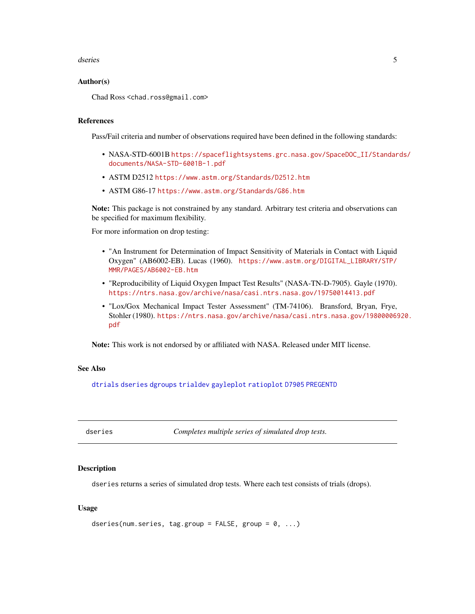#### <span id="page-4-0"></span>dseries 5 and 5 and 5 and 5 and 6 and 6 and 6 and 6 and 6 and 6 and 6 and 6 and 6 and 6 and 6 and 6 and 6 and 6 and 6 and 6 and 6 and 6 and 6 and 6 and 6 and 6 and 6 and 6 and 6 and 6 and 6 and 6 and 6 and 6 and 6 and 6 an

#### Author(s)

Chad Ross <chad.ross@gmail.com>

#### References

Pass/Fail criteria and number of observations required have been defined in the following standards:

- NASA-STD-6001B [https://spaceflightsystems.grc.nasa.gov/SpaceDOC\\_II/Standar](https://spaceflightsystems.grc.nasa.gov/SpaceDOC_II/Standards/documents/NASA-STD-6001B-1.pdf)ds/ [documents/NASA-STD-6001B-1.pdf](https://spaceflightsystems.grc.nasa.gov/SpaceDOC_II/Standards/documents/NASA-STD-6001B-1.pdf)
- ASTM D2512 <https://www.astm.org/Standards/D2512.htm>
- ASTM G86-17 <https://www.astm.org/Standards/G86.htm>

Note: This package is not constrained by any standard. Arbitrary test criteria and observations can be specified for maximum flexibility.

For more information on drop testing:

- "An Instrument for Determination of Impact Sensitivity of Materials in Contact with Liquid Oxygen" (AB6002-EB). Lucas (1960). [https://www.astm.org/DIGITAL\\_LIBRARY/STP/](https://www.astm.org/DIGITAL_LIBRARY/STP/MMR/PAGES/AB6002-EB.htm) [MMR/PAGES/AB6002-EB.htm](https://www.astm.org/DIGITAL_LIBRARY/STP/MMR/PAGES/AB6002-EB.htm)
- "Reproducibility of Liquid Oxygen Impact Test Results" (NASA-TN-D-7905). Gayle (1970). <https://ntrs.nasa.gov/archive/nasa/casi.ntrs.nasa.gov/19750014413.pdf>
- "Lox/Gox Mechanical Impact Tester Assessment" (TM-74106). Bransford, Bryan, Frye, Stohler (1980). [https://ntrs.nasa.gov/archive/nasa/casi.ntrs.nasa.gov/198000069](https://ntrs.nasa.gov/archive/nasa/casi.ntrs.nasa.gov/19800006920.pdf)20. [pdf](https://ntrs.nasa.gov/archive/nasa/casi.ntrs.nasa.gov/19800006920.pdf)

Note: This work is not endorsed by or affiliated with NASA. Released under MIT license.

#### See Also

[dtrials](#page-6-1) [dseries](#page-4-1) [dgroups](#page-1-1) [trialdev](#page-10-1) [gayleplot](#page-7-1) [ratioplot](#page-9-1) [D7905](#page-1-2) [PREGENTD](#page-8-1)

<span id="page-4-1"></span>dseries *Completes multiple series of simulated drop tests.*

#### **Description**

dseries returns a series of simulated drop tests. Where each test consists of trials (drops).

#### Usage

```
dseries(num.series, tag.group = FALSE, group = 0, ...)
```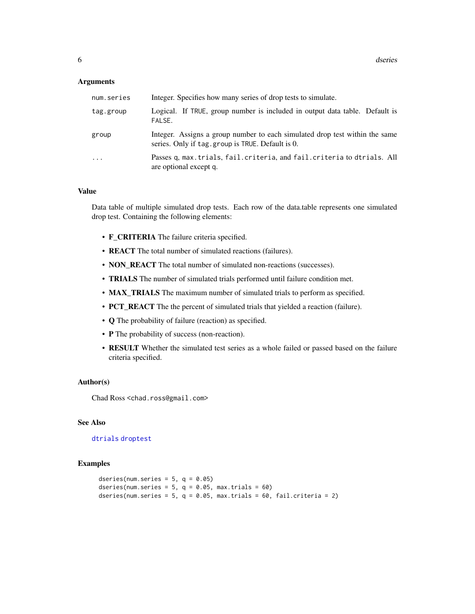#### <span id="page-5-0"></span>**Arguments**

| num.series | Integer. Specifies how many series of drop tests to simulate.                                                                    |
|------------|----------------------------------------------------------------------------------------------------------------------------------|
| tag.group  | Logical. If TRUE, group number is included in output data table. Default is<br>FALSE.                                            |
| group      | Integer. Assigns a group number to each simulated drop test within the same<br>series. Only if tag. group is TRUE. Default is 0. |
| .          | Passes q, max. trials, fail. criteria, and fail. criteria to dtrials. All<br>are optional except q.                              |

#### Value

Data table of multiple simulated drop tests. Each row of the data.table represents one simulated drop test. Containing the following elements:

- F\_CRITERIA The failure criteria specified.
- REACT The total number of simulated reactions (failures).
- NON\_REACT The total number of simulated non-reactions (successes).
- TRIALS The number of simulated trials performed until failure condition met.
- MAX\_TRIALS The maximum number of simulated trials to perform as specified.
- PCT\_REACT The the percent of simulated trials that yielded a reaction (failure).
- Q The probability of failure (reaction) as specified.
- P The probability of success (non-reaction).
- RESULT Whether the simulated test series as a whole failed or passed based on the failure criteria specified.

#### Author(s)

Chad Ross <chad.ross@gmail.com>

#### See Also

#### [dtrials](#page-6-1) [droptest](#page-3-1)

```
dseries(num.series = 5, q = 0.05)
dseries(num.series = 5, q = 0.05, max.trials = 60)
dseries(num.series = 5, q = 0.05, max.trials = 60, fail.criteria = 2)
```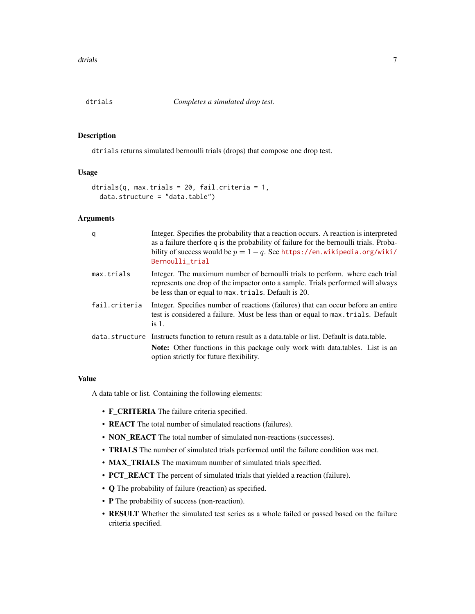<span id="page-6-1"></span><span id="page-6-0"></span>

dtrials returns simulated bernoulli trials (drops) that compose one drop test.

#### Usage

```
dtrials(q, max.trials = 20, fail.criteria = 1,
 data.structure = "data.table")
```
#### Arguments

| q             | Integer. Specifies the probability that a reaction occurs. A reaction is interpreted<br>as a failure therfore q is the probability of failure for the bernoulli trials. Proba-<br>bility of success would be $p = 1 - q$ . See https://en.wikipedia.org/wiki/<br>Bernoulli_trial |
|---------------|----------------------------------------------------------------------------------------------------------------------------------------------------------------------------------------------------------------------------------------------------------------------------------|
| max.trials    | Integer. The maximum number of bernoulli trials to perform, where each trial<br>represents one drop of the impactor onto a sample. Trials performed will always<br>be less than or equal to max. trials. Default is 20.                                                          |
| fail.criteria | Integer. Specifies number of reactions (failures) that can occur before an entire<br>test is considered a failure. Must be less than or equal to max. trials. Default<br>is $1$ .                                                                                                |
|               | data, structure Instructs function to return result as a data, table or list. Default is data, table.                                                                                                                                                                            |
|               | <b>Note:</b> Other functions in this package only work with data tables. List is an<br>option strictly for future flexibility.                                                                                                                                                   |

#### Value

A data table or list. Containing the following elements:

- F\_CRITERIA The failure criteria specified.
- REACT The total number of simulated reactions (failures).
- NON\_REACT The total number of simulated non-reactions (successes).
- TRIALS The number of simulated trials performed until the failure condition was met.
- **MAX\_TRIALS** The maximum number of simulated trials specified.
- PCT\_REACT The percent of simulated trials that yielded a reaction (failure).
- Q The probability of failure (reaction) as specified.
- P The probability of success (non-reaction).
- RESULT Whether the simulated test series as a whole failed or passed based on the failure criteria specified.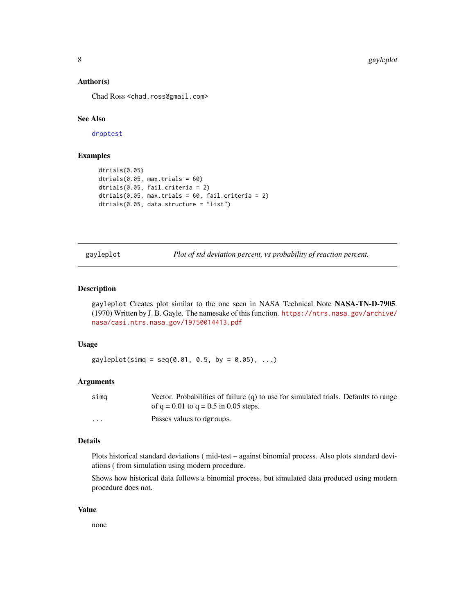#### <span id="page-7-0"></span>Author(s)

Chad Ross <chad.ross@gmail.com>

#### See Also

[droptest](#page-3-1)

#### Examples

```
dtrials(0.05)
dtrials(0.05, max.trials = 60)
dtrials(0.05, fail.criteria = 2)
dtrials(0.05, max.trials = 60, fail.criteria = 2)
dtrials(0.05, data.structure = "list")
```
<span id="page-7-1"></span>gayleplot *Plot of std deviation percent, vs probability of reaction percent.*

#### Description

gayleplot Creates plot similar to the one seen in NASA Technical Note NASA-TN-D-7905. (1970) Written by J. B. Gayle. The namesake of this function. [https://ntrs.nasa.gov/archive/](https://ntrs.nasa.gov/archive/nasa/casi.ntrs.nasa.gov/19750014413.pdf) [nasa/casi.ntrs.nasa.gov/19750014413.pdf](https://ntrs.nasa.gov/archive/nasa/casi.ntrs.nasa.gov/19750014413.pdf)

#### Usage

 $gayleplot(simq = seq(0.01, 0.5, by = 0.05), ...)$ 

#### Arguments

| sima    | Vector. Probabilities of failure $(q)$ to use for simulated trials. Defaults to range |
|---------|---------------------------------------------------------------------------------------|
|         | of $q = 0.01$ to $q = 0.5$ in 0.05 steps.                                             |
| $\cdot$ | Passes values to dgroups.                                                             |

#### Details

Plots historical standard deviations ( mid-test – against binomial process. Also plots standard deviations ( from simulation using modern procedure.

Shows how historical data follows a binomial process, but simulated data produced using modern procedure does not.

#### Value

none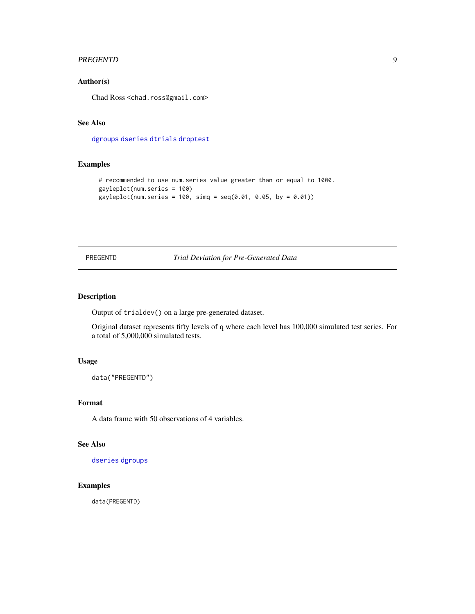#### <span id="page-8-0"></span>PREGENTD 9

#### Author(s)

Chad Ross <chad.ross@gmail.com>

#### See Also

[dgroups](#page-1-1) [dseries](#page-4-1) [dtrials](#page-6-1) [droptest](#page-3-1)

#### Examples

```
# recommended to use num.series value greater than or equal to 1000.
gayleplot(num.series = 100)
gayleplot(num.series = 100, \, \text{simq} = \text{seq}(0.01, 0.05, \, \text{by} = 0.01))
```
<span id="page-8-1"></span>PREGENTD *Trial Deviation for Pre-Generated Data*

#### Description

Output of trialdev() on a large pre-generated dataset.

Original dataset represents fifty levels of q where each level has 100,000 simulated test series. For a total of 5,000,000 simulated tests.

#### Usage

data("PREGENTD")

#### Format

A data frame with 50 observations of 4 variables.

#### See Also

[dseries](#page-4-1) [dgroups](#page-1-1)

### Examples

data(PREGENTD)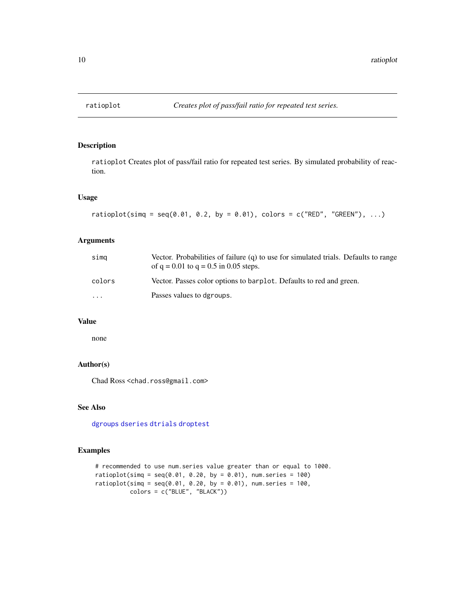ratioplot Creates plot of pass/fail ratio for repeated test series. By simulated probability of reaction.

#### Usage

```
ratioplot(simg = seq(0.01, 0.2, by = 0.01), colors = c("RED", "GREEN"), ...)
```
#### Arguments

| simq                    | Vector. Probabilities of failure $(q)$ to use for simulated trials. Defaults to range<br>of $q = 0.01$ to $q = 0.5$ in 0.05 steps. |
|-------------------------|------------------------------------------------------------------------------------------------------------------------------------|
| colors                  | Vector. Passes color options to barplot. Defaults to red and green.                                                                |
| $\cdot$ $\cdot$ $\cdot$ | Passes values to dgroups.                                                                                                          |

#### Value

none

#### Author(s)

Chad Ross <chad.ross@gmail.com>

#### See Also

[dgroups](#page-1-1) [dseries](#page-4-1) [dtrials](#page-6-1) [droptest](#page-3-1)

```
# recommended to use num.series value greater than or equal to 1000.
ratioplot(simq = seq(0.01, 0.20, by = 0.01), num.series = 100)
ratioplot(simq = seq(0.01, 0.20, by = 0.01), num.series = 100,
         colors = c("BLUE", "BLACK"))
```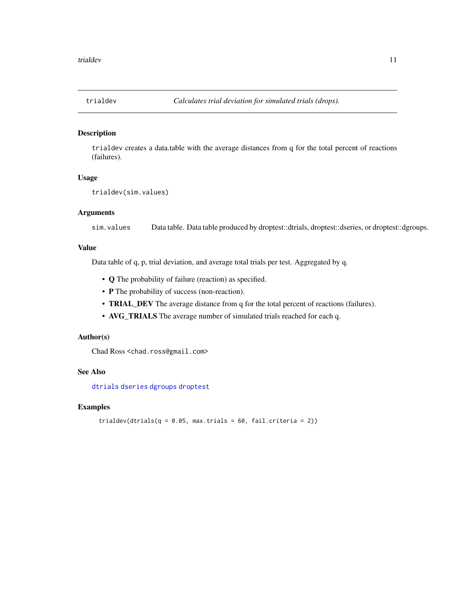<span id="page-10-1"></span><span id="page-10-0"></span>

trialdev creates a data.table with the average distances from q for the total percent of reactions (failures).

#### Usage

```
trialdev(sim.values)
```
#### Arguments

sim. values Data table. Data table produced by droptest::dtrials, droptest::dseries, or droptest::dgroups.

#### Value

Data table of q, p, trial deviation, and average total trials per test. Aggregated by q.

- Q The probability of failure (reaction) as specified.
- P The probability of success (non-reaction).
- TRIAL\_DEV The average distance from q for the total percent of reactions (failures).
- AVG\_TRIALS The average number of simulated trials reached for each q.

#### Author(s)

Chad Ross <chad.ross@gmail.com>

#### See Also

[dtrials](#page-6-1) [dseries](#page-4-1) [dgroups](#page-1-1) [droptest](#page-3-1)

```
trialdev(dtrials(q = 0.05, max.trials = 60, fail.criteria = 2))
```